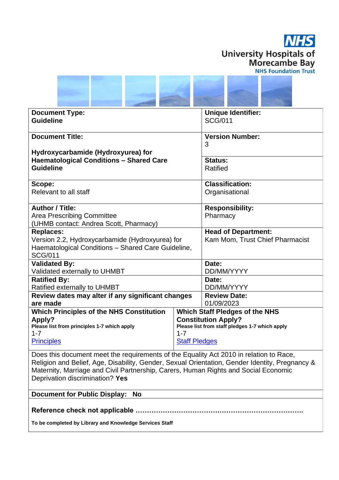



| <b>Document Type:</b>                                                                                                  |                      | <b>Unique Identifier:</b>       |  |
|------------------------------------------------------------------------------------------------------------------------|----------------------|---------------------------------|--|
| <b>Guideline</b>                                                                                                       |                      | <b>SCG/011</b>                  |  |
| <b>Document Title:</b>                                                                                                 |                      | <b>Version Number:</b>          |  |
|                                                                                                                        |                      | 3                               |  |
| Hydroxycarbamide (Hydroxyurea) for                                                                                     |                      |                                 |  |
| <b>Haematological Conditions - Shared Care</b>                                                                         |                      | <b>Status:</b>                  |  |
| <b>Guideline</b>                                                                                                       |                      | Ratified                        |  |
| Scope:                                                                                                                 |                      | <b>Classification:</b>          |  |
| Relevant to all staff                                                                                                  |                      | Organisational                  |  |
| <b>Author / Title:</b>                                                                                                 |                      | <b>Responsibility:</b>          |  |
| <b>Area Prescribing Committee</b>                                                                                      |                      | Pharmacy                        |  |
| (UHMB contact: Andrea Scott, Pharmacy)                                                                                 |                      |                                 |  |
| <b>Replaces:</b>                                                                                                       |                      | <b>Head of Department:</b>      |  |
| Version 2.2, Hydroxycarbamide (Hydroxyurea) for                                                                        |                      | Kam Mom, Trust Chief Pharmacist |  |
| Haematological Conditions - Shared Care Guideline,                                                                     |                      |                                 |  |
| <b>SCG/011</b>                                                                                                         |                      |                                 |  |
| <b>Validated By:</b>                                                                                                   |                      | Date:<br>DD/MM/YYYY             |  |
| Validated externally to UHMBT<br><b>Ratified By:</b>                                                                   |                      | Date:                           |  |
| Ratified externally to UHMBT                                                                                           |                      | DD/MM/YYYY                      |  |
| Review dates may alter if any significant changes                                                                      |                      | <b>Review Date:</b>             |  |
| are made                                                                                                               |                      | 01/09/2023                      |  |
| <b>Which Principles of the NHS Constitution</b><br><b>Which Staff Pledges of the NHS</b>                               |                      |                                 |  |
| <b>Constitution Apply?</b><br><b>Apply?</b>                                                                            |                      |                                 |  |
| Please list from staff pledges 1-7 which apply<br>Please list from principles 1-7 which apply<br>$1 - 7$<br>$1 - 7$    |                      |                                 |  |
| <b>Principles</b>                                                                                                      | <b>Staff Pledges</b> |                                 |  |
|                                                                                                                        |                      |                                 |  |
| Does this document meet the requirements of the Equality Act 2010 in relation to Race,                                 |                      |                                 |  |
| Religion and Belief, Age, Disability, Gender, Sexual Orientation, Gender Identity, Pregnancy &                         |                      |                                 |  |
| Maternity, Marriage and Civil Partnership, Carers, Human Rights and Social Economic<br>Deprivation discrimination? Yes |                      |                                 |  |
|                                                                                                                        |                      |                                 |  |

**Document for Public Display: No**

**Reference check not applicable ……………………………….……………………………….**

**To be completed by Library and Knowledge Services Staff**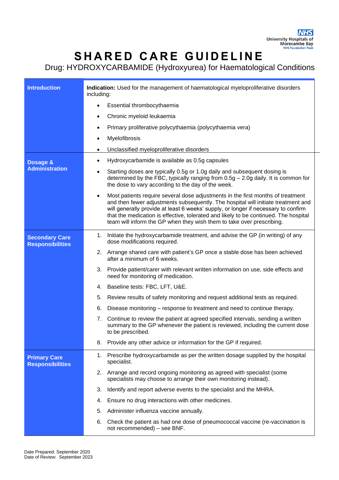## **SHARED CARE GUIDELINE**

Drug: HYDROXYCARBAMIDE (Hydroxyurea) for Haematological Conditions

| <b>Introduction</b>                              | Indication: Used for the management of haematological myeloproliferative disorders<br>including:                                                                                                                                                                                                                                                                                                                                         |  |  |
|--------------------------------------------------|------------------------------------------------------------------------------------------------------------------------------------------------------------------------------------------------------------------------------------------------------------------------------------------------------------------------------------------------------------------------------------------------------------------------------------------|--|--|
|                                                  | Essential thrombocythaemia                                                                                                                                                                                                                                                                                                                                                                                                               |  |  |
|                                                  | Chronic myeloid leukaemia                                                                                                                                                                                                                                                                                                                                                                                                                |  |  |
|                                                  | Primary proliferative polycythaemia (polycythaemia vera)                                                                                                                                                                                                                                                                                                                                                                                 |  |  |
|                                                  | Myelofibrosis                                                                                                                                                                                                                                                                                                                                                                                                                            |  |  |
|                                                  | Unclassified myeloproliferative disorders<br>$\bullet$                                                                                                                                                                                                                                                                                                                                                                                   |  |  |
| Dosage &<br><b>Administration</b>                | Hydroxycarbamide is available as 0.5g capsules                                                                                                                                                                                                                                                                                                                                                                                           |  |  |
|                                                  | Starting doses are typically 0.5g or 1.0g daily and subsequent dosing is<br>٠<br>determined by the FBC, typically ranging from $0.5g - 2.0g$ daily. It is common for<br>the dose to vary according to the day of the week.                                                                                                                                                                                                               |  |  |
|                                                  | Most patients require several dose adjustments in the first months of treatment<br>$\bullet$<br>and then fewer adjustments subsequently. The hospital will initiate treatment and<br>will generally provide at least 6 weeks' supply, or longer if necessary to confirm<br>that the medication is effective, tolerated and likely to be continued. The hospital<br>team will inform the GP when they wish them to take over prescribing. |  |  |
| <b>Secondary Care</b><br><b>Responsibilities</b> | 1. Initiate the hydroxycarbamide treatment, and advise the GP (in writing) of any<br>dose modifications required.                                                                                                                                                                                                                                                                                                                        |  |  |
|                                                  | 2. Arrange shared care with patient's GP once a stable dose has been achieved<br>after a minimum of 6 weeks.                                                                                                                                                                                                                                                                                                                             |  |  |
|                                                  | Provide patient/carer with relevant written information on use, side effects and<br>3.<br>need for monitoring of medication.                                                                                                                                                                                                                                                                                                             |  |  |
|                                                  | Baseline tests: FBC, LFT, U&E.<br>4.                                                                                                                                                                                                                                                                                                                                                                                                     |  |  |
|                                                  | Review results of safety monitoring and request additional tests as required.<br>5.                                                                                                                                                                                                                                                                                                                                                      |  |  |
|                                                  | Disease monitoring – response to treatment and need to continue therapy.<br>6.                                                                                                                                                                                                                                                                                                                                                           |  |  |
|                                                  | Continue to review the patient at agreed specified intervals, sending a written<br>7.<br>summary to the GP whenever the patient is reviewed, including the current dose<br>to be prescribed.                                                                                                                                                                                                                                             |  |  |
|                                                  | Provide any other advice or information for the GP if required.<br>8.                                                                                                                                                                                                                                                                                                                                                                    |  |  |
| <b>Primary Care</b><br><b>Responsibilities</b>   | 1. Prescribe hydroxycarbamide as per the written dosage supplied by the hospital<br>specialist.                                                                                                                                                                                                                                                                                                                                          |  |  |
|                                                  | 2. Arrange and record ongoing monitoring as agreed with specialist (some<br>specialists may choose to arrange their own monitoring instead).                                                                                                                                                                                                                                                                                             |  |  |
|                                                  | 3.<br>Identify and report adverse events to the specialist and the MHRA.                                                                                                                                                                                                                                                                                                                                                                 |  |  |
|                                                  | Ensure no drug interactions with other medicines.<br>4.                                                                                                                                                                                                                                                                                                                                                                                  |  |  |
|                                                  | 5.<br>Administer influenza vaccine annually.                                                                                                                                                                                                                                                                                                                                                                                             |  |  |
|                                                  | Check the patient as had one dose of pneumococcal vaccine (re-vaccination is<br>6.<br>not recommended) - see BNF.                                                                                                                                                                                                                                                                                                                        |  |  |